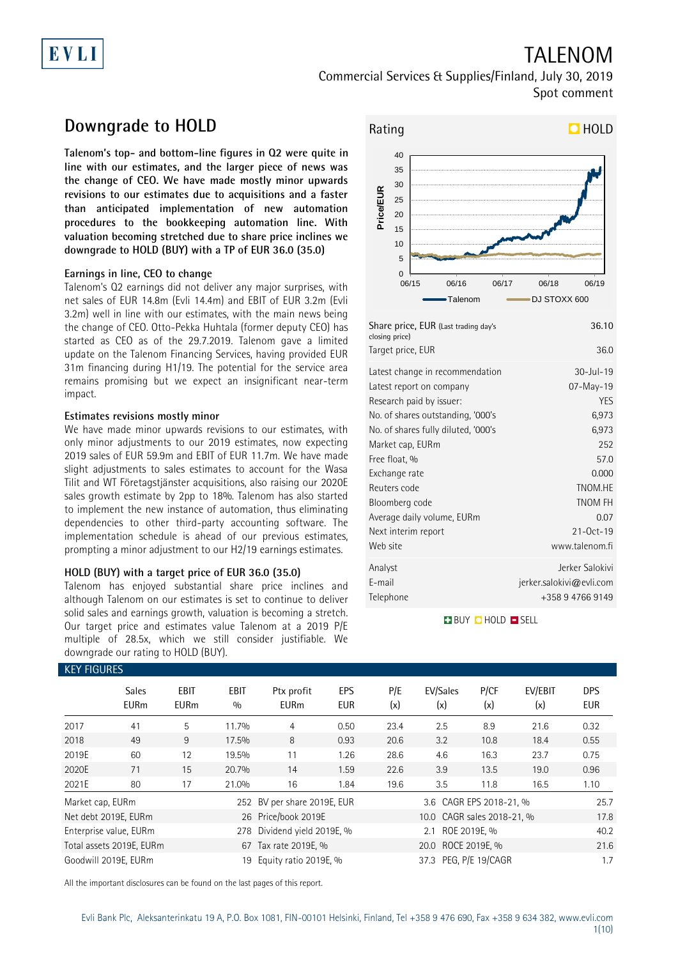# EVLI

## TALENOM Commercial Services & Supplies/Finland, July 30, 2019 Spot comment

## **Downgrade to HOLD**

**Talenom's top- and bottom-line figures in Q2 were quite in line with our estimates, and the larger piece of news was the change of CEO. We have made mostly minor upwards revisions to our estimates due to acquisitions and a faster than anticipated implementation of new automation procedures to the bookkeeping automation line. With valuation becoming stretched due to share price inclines we downgrade to HOLD (BUY) with a TP of EUR 36.0 (35.0)**

### **Earnings in line, CEO to change**

Talenom's Q2 earnings did not deliver any major surprises, with net sales of EUR 14.8m (Evli 14.4m) and EBIT of EUR 3.2m (Evli 3.2m) well in line with our estimates, with the main news being the change of CEO. Otto-Pekka Huhtala (former deputy CEO) has started as CEO as of the 29.7.2019. Talenom gave a limited update on the Talenom Financing Services, having provided EUR 31m financing during H1/19. The potential for the service area remains promising but we expect an insignificant near-term impact.

### **Estimates revisions mostly minor**

We have made minor upwards revisions to our estimates, with only minor adjustments to our 2019 estimates, now expecting 2019 sales of EUR 59.9m and EBIT of EUR 11.7m. We have made slight adjustments to sales estimates to account for the Wasa Tilit and WT Företagstjänster acquisitions, also raising our 2020E sales growth estimate by 2pp to 18%. Talenom has also started to implement the new instance of automation, thus eliminating dependencies to other third-party accounting software. The implementation schedule is ahead of our previous estimates, prompting a minor adjustment to our H2/19 earnings estimates.

### **HOLD (BUY) with a target price of EUR 36.0 (35.0)**

Talenom has enjoyed substantial share price inclines and although Talenom on our estimates is set to continue to deliver solid sales and earnings growth, valuation is becoming a stretch. Our target price and estimates value Talenom at a 2019 P/E multiple of 28.5x, which we still consider justifiable. We downgrade our rating to HOLD (BUY).



| Share price, EUR (Last trading day's<br>closing price)<br>Target price, EUR | 36.10<br>36.0            |
|-----------------------------------------------------------------------------|--------------------------|
| Latest change in recommendation                                             | 30-Jul-19                |
| Latest report on company                                                    | 07-May-19                |
| Research paid by issuer:                                                    | YES                      |
| No. of shares outstanding, '000's                                           | 6,973                    |
| No. of shares fully diluted, '000's                                         | 6,973                    |
| Market cap, EURm                                                            | 252                      |
| Free float, %                                                               | 57.0                     |
| Exchange rate                                                               | 0.000                    |
| Reuters code                                                                | TNOM.HE                  |
| Bloomberg code                                                              | <b>TNOM FH</b>           |
| Average daily volume, EURm                                                  | 0.07                     |
| Next interim report                                                         | $21 - 0ct - 19$          |
| Web site                                                                    | www.talenom.fi           |
| Analyst                                                                     | Jerker Salokivi          |
| E-mail                                                                      | jerker.salokivi@evli.com |
| Telephone                                                                   | +358 9 4766 9149         |
|                                                                             |                          |

**BUY QHOLD SELL** 

| <b>KEY FIGURES</b> |                             |                            |                    |                             |                    |                       |                            |             |                |                          |
|--------------------|-----------------------------|----------------------------|--------------------|-----------------------------|--------------------|-----------------------|----------------------------|-------------|----------------|--------------------------|
|                    | <b>Sales</b><br><b>EURm</b> | <b>EBIT</b><br><b>EURm</b> | <b>EBIT</b><br>0/0 | Ptx profit<br><b>EURm</b>   | EPS<br><b>EUR</b>  | P/E<br>(x)            | EV/Sales<br>(x)            | P/CF<br>(x) | EV/EBIT<br>(x) | <b>DPS</b><br><b>EUR</b> |
| 2017               | 41                          | 5                          | 11.7%              | 4                           | 0.50               | 23.4                  | 2.5                        | 8.9         | 21.6           | 0.32                     |
| 2018               | 49                          | 9                          | 17.5%              | 8                           | 0.93               | 20.6                  | 3.2                        | 10.8        | 18.4           | 0.55                     |
| 2019E              | 60                          | 12                         | 19.5%              | 11                          | 1.26               | 28.6                  | 4.6                        | 16.3        | 23.7           | 0.75                     |
| 2020E              | 71                          | 15                         | 20.7%              | 14                          | 1.59               | 22.6                  | 3.9                        | 13.5        | 19.0           | 0.96                     |
| 2021E              | 80                          | 17                         | 21.0%              | 16                          | 1.84               | 19.6                  | 3.5                        | 11.8        | 16.5           | 1.10                     |
| Market cap, EURm   |                             |                            |                    | 252 BV per share 2019E, EUR |                    |                       | 3.6 CAGR EPS 2018-21, %    |             |                | 25.7                     |
|                    | Net debt 2019E, EURm        |                            |                    | 26 Price/book 2019E         |                    |                       | 10.0 CAGR sales 2018-21, % |             |                | 17.8                     |
|                    | Enterprise value, EURm      |                            | 278                | Dividend yield 2019E, %     |                    | ROE 2019E, %<br>2.1   |                            |             |                | 40.2                     |
|                    | Total assets 2019E, EURm    |                            |                    | 67 Tax rate 2019E, %        | 20.0 ROCE 2019E, % |                       |                            |             | 21.6           |                          |
|                    | Goodwill 2019E. EURm        |                            | 19                 | Equity ratio 2019E, %       |                    | 37.3 PEG. P/E 19/CAGR |                            |             |                | 1.7                      |

All the important disclosures can be found on the last pages of this report.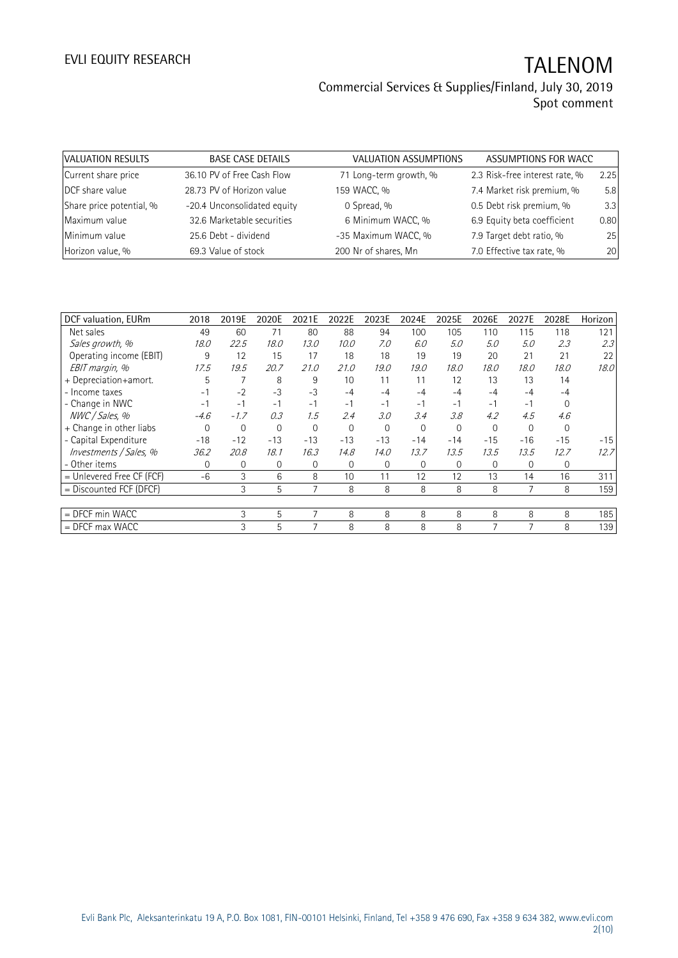| VALUATION RESULTS        | <b>BASE CASE DETAILS</b>    | VALUATION ASSUMPTIONS  | ASSUMPTIONS FOR WACC           |      |
|--------------------------|-----------------------------|------------------------|--------------------------------|------|
| Current share price      | 36.10 PV of Free Cash Flow  | 71 Long-term growth, % | 2.3 Risk-free interest rate, % | 2.25 |
| DCF share value          | 28.73 PV of Horizon value   | 159 WACC, %            | 7.4 Market risk premium, %     | 5.8  |
| Share price potential, % | -20.4 Unconsolidated equity | 0 Spread, %            | 0.5 Debt risk premium, %       | 3.3  |
| Maximum value            | 32.6 Marketable securities  | 6 Minimum WACC, %      | 6.9 Equity beta coefficient    | 0.80 |
| Minimum value            | 25.6 Debt - dividend        | -35 Maximum WACC, %    | 7.9 Target debt ratio, %       | 25   |
| Horizon value, %         | 69.3 Value of stock         | 200 Nr of shares, Mn   | 7.0 Effective tax rate, %      | 20   |

| DCF valuation, EURm         | 2018     | 2019E          | 2020E          | 2021E    | 2022E    | 2023E    | 2024E    | 2025E    | 2026E    | 2027E    | 2028E    | Horizon |
|-----------------------------|----------|----------------|----------------|----------|----------|----------|----------|----------|----------|----------|----------|---------|
| Net sales                   | 49       | 60             | 71             | 80       | 88       | 94       | 100      | 105      | 110      | 115      | 118      | 121     |
| Sales growth, %             | 18.0     | 22.5           | 18.0           | 13.0     | 10.0     | 7.0      | 6.0      | 5.0      | 5.0      | 5.0      | 2.3      | 2.3     |
| Operating income (EBIT)     | 9        | 12             | 15             | 17       | 18       | 18       | 19       | 19       | 20       | 21       | 21       | 22      |
| EBIT margin, %              | 17.5     | 19.5           | 20.7           | 21.0     | 21.0     | 19.0     | 19.0     | 18.0     | 18.0     | 18.0     | 18.0     | 18.0    |
| + Depreciation+amort.       | 5        | $\overline{7}$ | 8              | 9        | 10       | 11       | 11       | 12       | 13       | 13       | 14       |         |
| - Income taxes              | -1       | $-2$           | $-3$           | $-3$     | $-4$     | $-4$     | $-4$     | $-4$     | $-4$     | $-4$     | $-4$     |         |
| - Change in NWC             | $-1$     | $-1$           | $-1$           | $-1$     | $-1$     | $-1$     | $-1$     | $-1$     | $-1$     | $-1$     | $\Omega$ |         |
| NWC / Sales, %              | $-4.6$   | $-1.7$         | 0.3            | 1.5      | 2.4      | 3.0      | 3.4      | 3.8      | 4.2      | 4.5      | 4.6      |         |
| + Change in other liabs     | $\Omega$ | 0              | $\Omega$       | $\Omega$ | $\Omega$ | $\Omega$ | $\Omega$ | $\Omega$ | $\Omega$ | $\Omega$ | $\Omega$ |         |
| - Capital Expenditure       | $-18$    | $-12$          | $-13$          | $-13$    | $-13$    | $-13$    | $-14$    | $-14$    | $-15$    | $-16$    | $-15$    | $-15$   |
| Investments / Sales, %      | 36.2     | 20.8           | 18.1           | 16.3     | 14.8     | 14.0     | 13.7     | 13.5     | 13.5     | 13.5     | 12.7     | 12.7    |
| - Other items               | $\Omega$ | $\overline{0}$ | $\overline{0}$ | 0        | $\Omega$ | $\Omega$ | 0        | $\Omega$ | $\Omega$ | $\Omega$ | 0        |         |
| $=$ Unlevered Free CF (FCF) | $-6$     | 3              | 6              | 8        | 10       | 11       | 12       | 12       | 13       | 14       | 16       | 311     |
| $=$ Discounted FCF (DFCF)   |          | 3              | 5              |          | 8        | 8        | 8        | 8        | 8        |          | 8        | 159     |
|                             |          |                |                |          |          |          |          |          |          |          |          |         |
| $=$ DFCF min WACC           |          | 3              | 5              | 7        | 8        | 8        | 8        | 8        | 8        | 8        | 8        | 185     |
| $=$ DFCF max WACC           |          | 3              | 5              |          | 8        | 8        | 8        | 8        |          |          | 8        | 139     |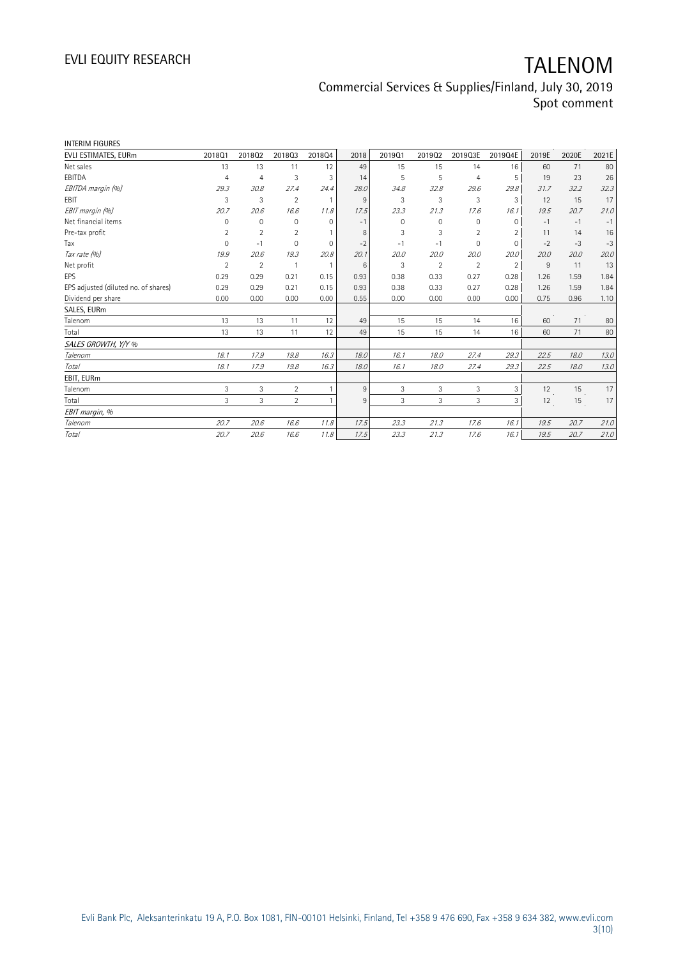| EVLI ESTIMATES, EURm<br>201901<br>201801<br>201802<br>201803<br>201804<br>2018<br>201902<br>Net sales<br>13<br>13<br>12<br>49<br>15<br>15<br>11<br>EBITDA<br>3<br>3<br>5<br>5<br>$\overline{4}$<br>$\overline{4}$<br>14<br>EBITDA margin (%)<br>29.3<br>30.8<br>27.4<br>24.4<br>28.0<br>34.8<br>32.8<br>EBIT<br>3<br>3<br>$\overline{2}$<br>9<br>3<br>3<br>$\overline{1}$<br>EBIT margin (%)<br>23.3<br>20.7<br>20.6<br>16.6<br>11.8<br>17.5<br>21.3<br>Net financial items<br>0<br>$\mathbf 0$<br>$\mathbf 0$<br>$\Omega$<br>0<br>$\mathbf{0}$<br>$-1$<br>$\overline{2}$<br>Pre-tax profit<br>2<br>$\overline{2}$<br>3<br>3<br>8<br>Tax<br>$\Omega$<br>0<br>$\mathbf{0}$<br>$-2$<br>$-1$<br>$-1$<br>$-1$<br>Tax rate (%)<br>20.8<br>19.9<br>20.6<br>19.3<br>20.1<br>20.0<br>20.0<br>$\overline{2}$<br>Net profit<br>$\overline{2}$<br>3<br>$\overline{2}$<br>$\mathbf{1}$<br>$\overline{1}$<br>6<br>EPS<br>0.29<br>0.29<br>0.21<br>0.93<br>0.38<br>0.33<br>0.15<br>EPS adjusted (diluted no. of shares)<br>0.29<br>0.29<br>0.21<br>0.15<br>0.93<br>0.38<br>0.33<br>Dividend per share<br>0.00<br>0.00<br>0.00<br>0.00<br>0.00<br>0.55<br>0.00<br>SALES, EURm<br>Talenom<br>13<br>12<br>15<br>13<br>11<br>49<br>15<br>13<br>12<br>15<br>Total<br>13<br>11<br>15<br>49<br>SALES GROWTH, Y/Y %<br>Talenom<br>18.1<br>17.9<br>16.3<br>16.1<br>19.8<br>18.0<br>18.0<br>Total<br>18.1<br>17.9<br>19.8<br>16.3<br>18.0<br>16.1<br>18.0<br>EBIT, EURm<br>3<br>3<br>$\overline{2}$<br>3<br>Talenom<br>9<br>3<br>1<br>3<br>$\overline{2}$<br>3<br>3<br>Total<br>3<br>9<br>1<br>EBIT margin, %<br>Talenom<br>20.7<br>20.6<br>16.6<br>11.8<br>23.3<br>21.3<br>17.5<br>Total<br>20.7<br>20.6<br>16.6<br>11.8<br>23.3<br>21.3<br>17.5 |  |         |                         |       |       |       |
|--------------------------------------------------------------------------------------------------------------------------------------------------------------------------------------------------------------------------------------------------------------------------------------------------------------------------------------------------------------------------------------------------------------------------------------------------------------------------------------------------------------------------------------------------------------------------------------------------------------------------------------------------------------------------------------------------------------------------------------------------------------------------------------------------------------------------------------------------------------------------------------------------------------------------------------------------------------------------------------------------------------------------------------------------------------------------------------------------------------------------------------------------------------------------------------------------------------------------------------------------------------------------------------------------------------------------------------------------------------------------------------------------------------------------------------------------------------------------------------------------------------------------------------------------------------------------------------------------------------------------------------------------------------------------------------------------------------------------|--|---------|-------------------------|-------|-------|-------|
|                                                                                                                                                                                                                                                                                                                                                                                                                                                                                                                                                                                                                                                                                                                                                                                                                                                                                                                                                                                                                                                                                                                                                                                                                                                                                                                                                                                                                                                                                                                                                                                                                                                                                                                          |  | 2019Q3E | 2019Q4E                 | 2019E | 2020E | 2021E |
|                                                                                                                                                                                                                                                                                                                                                                                                                                                                                                                                                                                                                                                                                                                                                                                                                                                                                                                                                                                                                                                                                                                                                                                                                                                                                                                                                                                                                                                                                                                                                                                                                                                                                                                          |  | 14      | 16                      | 60    | 71    | 80    |
|                                                                                                                                                                                                                                                                                                                                                                                                                                                                                                                                                                                                                                                                                                                                                                                                                                                                                                                                                                                                                                                                                                                                                                                                                                                                                                                                                                                                                                                                                                                                                                                                                                                                                                                          |  |         | 5<br>$\overline{4}$     | 19    | 23    | 26    |
|                                                                                                                                                                                                                                                                                                                                                                                                                                                                                                                                                                                                                                                                                                                                                                                                                                                                                                                                                                                                                                                                                                                                                                                                                                                                                                                                                                                                                                                                                                                                                                                                                                                                                                                          |  | 29.6    | 29.8                    | 31.7  | 32.2  | 32.3  |
|                                                                                                                                                                                                                                                                                                                                                                                                                                                                                                                                                                                                                                                                                                                                                                                                                                                                                                                                                                                                                                                                                                                                                                                                                                                                                                                                                                                                                                                                                                                                                                                                                                                                                                                          |  |         | 3<br>3                  | 12    | 15    | 17    |
|                                                                                                                                                                                                                                                                                                                                                                                                                                                                                                                                                                                                                                                                                                                                                                                                                                                                                                                                                                                                                                                                                                                                                                                                                                                                                                                                                                                                                                                                                                                                                                                                                                                                                                                          |  | 17.6    | 16.1                    | 19.5  | 20.7  | 21.0  |
|                                                                                                                                                                                                                                                                                                                                                                                                                                                                                                                                                                                                                                                                                                                                                                                                                                                                                                                                                                                                                                                                                                                                                                                                                                                                                                                                                                                                                                                                                                                                                                                                                                                                                                                          |  |         | 0<br>$\circ$            | $-1$  | $-1$  | $-1$  |
|                                                                                                                                                                                                                                                                                                                                                                                                                                                                                                                                                                                                                                                                                                                                                                                                                                                                                                                                                                                                                                                                                                                                                                                                                                                                                                                                                                                                                                                                                                                                                                                                                                                                                                                          |  |         | $\overline{2}$<br>2     | 11    | 14    | 16    |
|                                                                                                                                                                                                                                                                                                                                                                                                                                                                                                                                                                                                                                                                                                                                                                                                                                                                                                                                                                                                                                                                                                                                                                                                                                                                                                                                                                                                                                                                                                                                                                                                                                                                                                                          |  |         | $\Omega$<br>$\mathbf 0$ | $-2$  | $-3$  | $-3$  |
|                                                                                                                                                                                                                                                                                                                                                                                                                                                                                                                                                                                                                                                                                                                                                                                                                                                                                                                                                                                                                                                                                                                                                                                                                                                                                                                                                                                                                                                                                                                                                                                                                                                                                                                          |  | 20.0    | 20.0                    | 20.0  | 20.0  | 20.0  |
|                                                                                                                                                                                                                                                                                                                                                                                                                                                                                                                                                                                                                                                                                                                                                                                                                                                                                                                                                                                                                                                                                                                                                                                                                                                                                                                                                                                                                                                                                                                                                                                                                                                                                                                          |  |         | 2<br>$\overline{2}$     | 9     | 11    | 13    |
|                                                                                                                                                                                                                                                                                                                                                                                                                                                                                                                                                                                                                                                                                                                                                                                                                                                                                                                                                                                                                                                                                                                                                                                                                                                                                                                                                                                                                                                                                                                                                                                                                                                                                                                          |  | 0.27    | 0.28                    | 1.26  | 1.59  | 1.84  |
|                                                                                                                                                                                                                                                                                                                                                                                                                                                                                                                                                                                                                                                                                                                                                                                                                                                                                                                                                                                                                                                                                                                                                                                                                                                                                                                                                                                                                                                                                                                                                                                                                                                                                                                          |  | 0.27    | 0.28                    | 1.26  | 1.59  | 1.84  |
|                                                                                                                                                                                                                                                                                                                                                                                                                                                                                                                                                                                                                                                                                                                                                                                                                                                                                                                                                                                                                                                                                                                                                                                                                                                                                                                                                                                                                                                                                                                                                                                                                                                                                                                          |  | 0.00    | 0.00                    | 0.75  | 0.96  | 1.10  |
|                                                                                                                                                                                                                                                                                                                                                                                                                                                                                                                                                                                                                                                                                                                                                                                                                                                                                                                                                                                                                                                                                                                                                                                                                                                                                                                                                                                                                                                                                                                                                                                                                                                                                                                          |  |         |                         |       |       |       |
|                                                                                                                                                                                                                                                                                                                                                                                                                                                                                                                                                                                                                                                                                                                                                                                                                                                                                                                                                                                                                                                                                                                                                                                                                                                                                                                                                                                                                                                                                                                                                                                                                                                                                                                          |  | 14      | 16                      | 60    | 71    | 80    |
|                                                                                                                                                                                                                                                                                                                                                                                                                                                                                                                                                                                                                                                                                                                                                                                                                                                                                                                                                                                                                                                                                                                                                                                                                                                                                                                                                                                                                                                                                                                                                                                                                                                                                                                          |  | 14      | 16                      | 60    | 71    | 80    |
|                                                                                                                                                                                                                                                                                                                                                                                                                                                                                                                                                                                                                                                                                                                                                                                                                                                                                                                                                                                                                                                                                                                                                                                                                                                                                                                                                                                                                                                                                                                                                                                                                                                                                                                          |  |         |                         |       |       |       |
|                                                                                                                                                                                                                                                                                                                                                                                                                                                                                                                                                                                                                                                                                                                                                                                                                                                                                                                                                                                                                                                                                                                                                                                                                                                                                                                                                                                                                                                                                                                                                                                                                                                                                                                          |  | 27.4    | 29.3                    | 22.5  | 18.0  | 13.0  |
|                                                                                                                                                                                                                                                                                                                                                                                                                                                                                                                                                                                                                                                                                                                                                                                                                                                                                                                                                                                                                                                                                                                                                                                                                                                                                                                                                                                                                                                                                                                                                                                                                                                                                                                          |  | 27.4    | 29.3                    | 22.5  | 18.0  | 13.0  |
|                                                                                                                                                                                                                                                                                                                                                                                                                                                                                                                                                                                                                                                                                                                                                                                                                                                                                                                                                                                                                                                                                                                                                                                                                                                                                                                                                                                                                                                                                                                                                                                                                                                                                                                          |  |         |                         |       |       |       |
|                                                                                                                                                                                                                                                                                                                                                                                                                                                                                                                                                                                                                                                                                                                                                                                                                                                                                                                                                                                                                                                                                                                                                                                                                                                                                                                                                                                                                                                                                                                                                                                                                                                                                                                          |  |         | 3<br>3                  | 12    | 15    | 17    |
|                                                                                                                                                                                                                                                                                                                                                                                                                                                                                                                                                                                                                                                                                                                                                                                                                                                                                                                                                                                                                                                                                                                                                                                                                                                                                                                                                                                                                                                                                                                                                                                                                                                                                                                          |  |         | 3<br>3                  | 12    | 15    | 17    |
|                                                                                                                                                                                                                                                                                                                                                                                                                                                                                                                                                                                                                                                                                                                                                                                                                                                                                                                                                                                                                                                                                                                                                                                                                                                                                                                                                                                                                                                                                                                                                                                                                                                                                                                          |  |         |                         |       |       |       |
|                                                                                                                                                                                                                                                                                                                                                                                                                                                                                                                                                                                                                                                                                                                                                                                                                                                                                                                                                                                                                                                                                                                                                                                                                                                                                                                                                                                                                                                                                                                                                                                                                                                                                                                          |  | 17.6    | 16.1                    | 19.5  | 20.7  | 21.0  |
|                                                                                                                                                                                                                                                                                                                                                                                                                                                                                                                                                                                                                                                                                                                                                                                                                                                                                                                                                                                                                                                                                                                                                                                                                                                                                                                                                                                                                                                                                                                                                                                                                                                                                                                          |  | 17.6    | 16.1                    | 19.5  | 20.7  | 21.0  |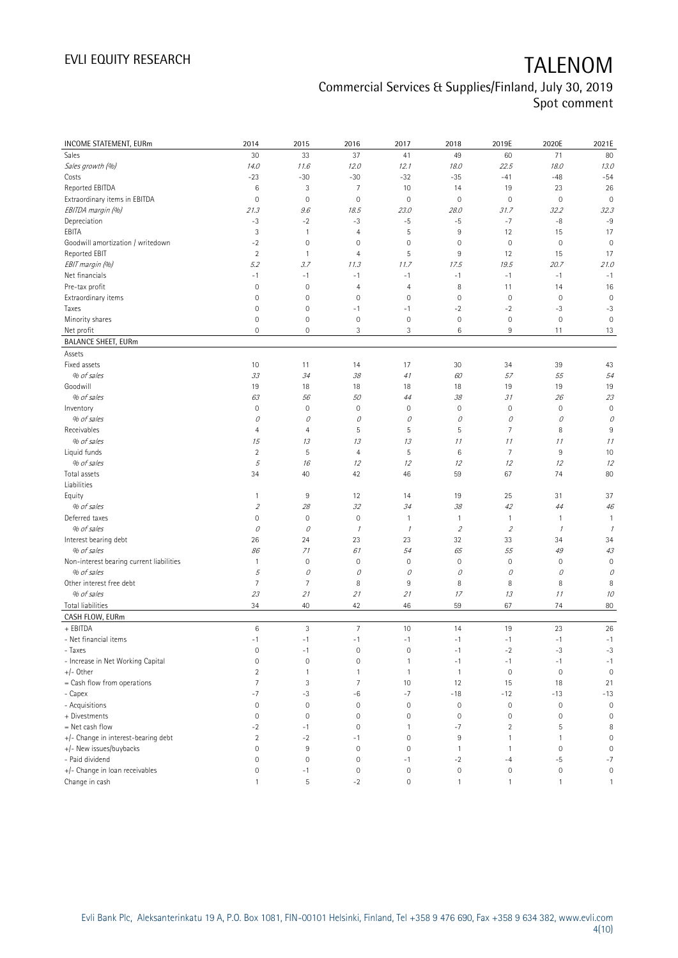| INCOME STATEMENT, EURm                     | 2014                | 2015           | 2016                | 2017                | 2018                | 2019E               | 2020E               | 2021E               |
|--------------------------------------------|---------------------|----------------|---------------------|---------------------|---------------------|---------------------|---------------------|---------------------|
| Sales                                      | 30                  | 33             | 37                  | 41                  | 49                  | 60                  | 71                  | 80                  |
| Sales growth (%)                           | 14.0                | 11.6           | 12.0                | 12.1                | 18.0                | 22.5                | 18.0                | 13.0                |
| Costs                                      | $-23$               | $-30$          | $-30$               | $-32$               | $-35$               | $-41$               | $-48$               | $-54$               |
| Reported EBITDA                            | 6                   | 3              | 7                   | 10                  | 14                  | 19                  | 23                  | 26                  |
| Extraordinary items in EBITDA              | $\mathbf 0$         | $\mathbf 0$    | $\mathsf{O}\xspace$ | $\mathbf 0$         | $\mathbf 0$         | $\mathbf 0$         | $\mathbf 0$         | $\mathbf 0$         |
| EBITDA margin (%)                          | 21.3                | 9.6            | 18.5                | 23.0                | 28.0                | 31.7                | 32.2                | 32.3                |
| Depreciation                               | $-3$                | $-2$           | $-3$                | $-5$                | $-5$                | $-7$                | $-8$                | $-9$                |
| EBITA                                      | 3                   | $\mathbf{1}$   | 4                   | 5                   | $\overline{9}$      | 12                  | 15                  | 17                  |
| Goodwill amortization / writedown          | $-2$                | $\mathbf 0$    | $\mathsf 0$         | $\mathbf 0$         | $\mathbf 0$         | $\mathbb O$         | $\mathbf 0$         | $\mathbf 0$         |
| Reported EBIT                              | $\overline{2}$      | $\mathbf{1}$   | 4                   | 5                   | 9                   | 12                  | 15                  | 17                  |
| EBIT margin (%)                            | 5.2                 | 3.7            | 11.3                | 11.7                | 17.5                | 19.5                | 20.7                | 21.0                |
| Net financials                             | $-1$                | $-1$           | $-1$                | $-1$                | $-1$                | $-1$                | $-1$                | $-1$                |
| Pre-tax profit                             | $\mathbf 0$         | $\mathbf 0$    | 4                   | $\overline{4}$      | 8                   | 11                  | 14                  | 16                  |
| Extraordinary items                        | $\mathsf 0$         | $\mathbf 0$    | $\mathbf 0$         | $\mathbf 0$         | $\mathbf 0$         | $\mathbb O$         | $\mathbf 0$         | $\mathbf 0$         |
| Taxes                                      | $\mathbf 0$         | $\mathbf 0$    | $-1$                | $-1$                | $-2$                | $-2$                | $-3$                | $-3$                |
| Minority shares                            | $\mathsf 0$         | $\mathbb O$    | $\mathbf 0$         | $\mathbf 0$         | $\mathbb O$         | $\mathsf{O}\xspace$ | $\mathbf 0$         | $\mathbf 0$         |
| Net profit                                 | 0                   | $\mathbf 0$    | 3                   | 3                   | 6                   | 9                   | 11                  | 13                  |
| <b>BALANCE SHEET, EURm</b>                 |                     |                |                     |                     |                     |                     |                     |                     |
| Assets                                     |                     |                |                     |                     |                     |                     |                     |                     |
| Fixed assets                               | 10                  | 11             | 14                  | 17                  | 30                  | 34                  | 39                  | 43                  |
| % of sales                                 | 33                  | 34             | 38                  | 41                  | 60                  | 57                  | 55                  | 54                  |
| Goodwill                                   | 19                  | 18             | 18                  | 18                  | 18                  | 19                  | 19                  | 19                  |
| % of sales                                 | 63                  | 56             | 50                  | 44                  | 38                  | 31                  | 26                  | 23                  |
| Inventory                                  | $\mathsf{O}\xspace$ | $\mathbf 0$    | $\mathbf 0$         | 0                   | $\mathbf 0$         | $\mathsf{O}\xspace$ | $\mathbf 0$         | $\mathbf 0$         |
| % of sales                                 | 0                   | 0              | 0                   | 0                   | 0                   | 0                   | 0                   | 0                   |
| Receivables                                | 4                   | $\overline{4}$ | 5                   | 5                   | 5                   | $\overline{7}$      | 8                   | 9                   |
| % of sales                                 | 15                  | 13             | 13                  | 13                  | 11                  | 11                  | 11                  | 11                  |
| Liquid funds                               | $\overline{2}$      | $\mathsf S$    | 4                   | 5                   | $\,6\,$             | $\overline{7}$      | $9\,$               | 10                  |
| % of sales                                 | 5                   | 16             | 12                  | 12                  | 12                  | 12                  | 12                  | 12                  |
| Total assets                               | 34                  | 40             | 42                  | 46                  | 59                  | 67                  | 74                  | 80                  |
| Liabilities                                |                     |                |                     |                     |                     |                     |                     |                     |
| Equity                                     | $\mathbf{1}$        | 9              | 12                  | 14                  | 19                  | 25                  | 31                  | 37                  |
| % of sales                                 | $\sqrt{2}$          | 28             | 32                  | 34                  | 38                  | 42                  | 44                  | 46                  |
| Deferred taxes                             | 0                   | $\mathbb O$    | $\mathbf 0$         | 1                   | $\overline{1}$      | $\mathbf{1}$        | 1                   | $\mathbf{1}$        |
| % of sales                                 | 0                   | 0              | $\mathcal I$        | $\mathcal I$        | $\overline{2}$      | $\mathfrak z$       | $\mathcal{I}$       | 1                   |
| Interest bearing debt                      | 26                  | 24             | 23                  | 23                  | 32                  | 33                  | 34                  | 34                  |
| % of sales                                 | 86                  | 71             | 61                  | 54                  | 65                  | 55                  | 49                  | 43                  |
| Non-interest bearing current liabilities   | $\mathbf{1}$        | $\mathbf 0$    | $\bf 0$             | $\mathsf{O}\xspace$ | $\mathbf 0$         | $\mathsf{O}\xspace$ | $\mathbf 0$         | $\mathbf 0$         |
| % of sales                                 | 5                   | $\mathcal O$   | 0                   | 0                   | 0                   | 0                   | 0                   | 0                   |
| Other interest free debt                   | $\overline{7}$      | $\overline{7}$ | 8                   | 9                   | 8                   | 8                   | 8                   | 8                   |
| % of sales                                 | 23                  | 21             | 21                  | 21                  | 17                  | 13                  | 11                  | 10                  |
| Total liabilities                          | 34                  | 40             | 42                  | 46                  | 59                  | 67                  | 74                  | 80                  |
| CASH FLOW, EURm                            |                     |                |                     |                     |                     |                     |                     |                     |
| + EBITDA                                   | $\,6$               | $\sqrt{3}$     | $\overline{7}$      | 10                  | 14                  | 19                  | 23                  | 26                  |
| - Net financial items                      | $-1$                | $-1$           | $-1$                | $-1$                | $-1$                | $-1$                | $-1$                | $-1$                |
| - Taxes                                    | 0                   | $-1$           | $\bf 0$             | $\mathsf{O}\xspace$ | $-1$                | $-2$                | $-3$                | $-3$                |
| - Increase in Net Working Capital          | $\mathsf{O}\xspace$ | $\mathbf 0$    | $\mathsf{O}\xspace$ | $\mathbf{1}$        | $-1$                | $-1$                | $-1$                | $-1$                |
| +/- Other                                  | $\overline{2}$      | $\mathbf{1}$   | 1                   | $\mathbf{1}$        | $\overline{1}$      | $\mathbf 0$         | $\mathbf 0$         | $\mathbf 0$         |
| = Cash flow from operations                | 7                   | 3              | 7                   | 10                  | 12                  | 15                  | 18                  | 21                  |
| - Capex                                    | $-7$                | $-3$           | $-6$                | $-7$                | $-18$               | $-12$               | $-13$               | $-13$               |
| - Acquisitions                             | $\mathbb O$         | $\mathbf 0$    | $\bf 0$             | $\mathbf 0$         | $\mathbf 0$         | $\mathbb O$         | $\mathbf 0$         | $\mathbf 0$         |
| + Divestments                              | 0                   | $\mathbf 0$    | $\mathsf{O}\xspace$ | 0                   | $\mathbf 0$         | $\mathbf 0$         | 0                   | $\mathbf 0$         |
| = Net cash flow                            | $-2$                | $-1$           | $\mathbf 0$         | 1                   | $-7$                | $\overline{c}$      | 5                   | 8                   |
| +/- Change in interest-bearing debt        | $\overline{2}$      | $-2$           | $-1$                | $\mathbf 0$         | 9                   | $\mathbf{1}$        | 1                   | $\mathsf{O}\xspace$ |
|                                            | $\mathsf{O}\xspace$ | $\,9$          | $\mathbf 0$         | $\mathbf 0$         | $\overline{1}$      | $\mathbf{1}$        | $\mathbf 0$         | $\mathbf 0$         |
| +/- New issues/buybacks<br>- Paid dividend | $\mathsf{O}\xspace$ | $\mathbf 0$    | $\mathbf 0$         |                     |                     |                     |                     | $-7$                |
| +/- Change in loan receivables             | 0                   |                | $\mathbf 0$         | $-1$<br>$\mathbf 0$ | $-2$<br>$\mathbf 0$ | $-4$<br>$\mathbf 0$ | $-5$<br>$\mathbf 0$ |                     |
|                                            |                     | $-1$           |                     |                     |                     |                     |                     | $\mathbb O$         |
| Change in cash                             | $\mathbf{1}$        | $\mathsf S$    | $-2$                | $\mathsf{O}\xspace$ | $\mathbf{1}$        | $\mathbf{1}$        | 1                   | $\mathbf{1}$        |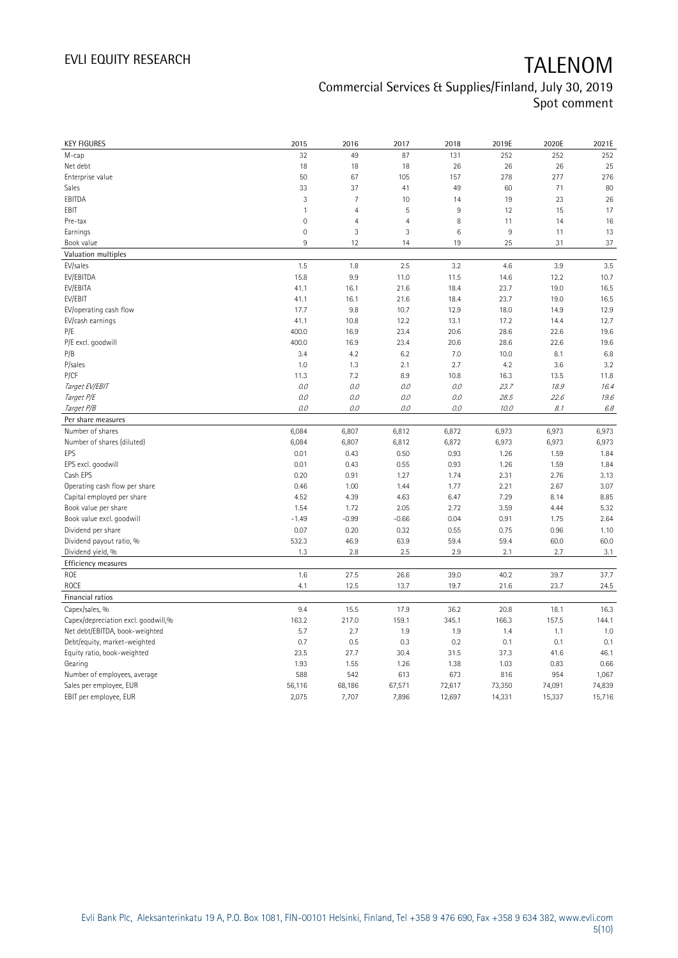| <b>KEY FIGURES</b>                  | 2015         | 2016           | 2017           | 2018           | 2019E  | 2020E  | 2021E   |
|-------------------------------------|--------------|----------------|----------------|----------------|--------|--------|---------|
| M-cap                               | 32           | 49             | 87             | 131            | 252    | 252    | 252     |
| Net debt                            | 18           | 18             | 18             | 26             | 26     | 26     | 25      |
| Enterprise value                    | 50           | 67             | 105            | 157            | 278    | 277    | 276     |
| Sales                               | 33           | 37             | 41             | 49             | 60     | 71     | 80      |
| EBITDA                              | 3            | $\overline{7}$ | 10             | 14             | 19     | 23     | 26      |
| EBIT                                | $\mathbf{1}$ | $\overline{4}$ | 5              | $\overline{9}$ | 12     | 15     | 17      |
| Pre-tax                             | $\mathbf 0$  | $\overline{4}$ | $\overline{4}$ | 8              | 11     | 14     | 16      |
| Earnings                            | $\mathbf 0$  | 3              | 3              | 6              | 9      | 11     | 13      |
| Book value                          | 9            | 12             | 14             | 19             | 25     | 31     | 37      |
| Valuation multiples                 |              |                |                |                |        |        |         |
| EV/sales                            | 1.5          | 1.8            | 2.5            | 3.2            | 4.6    | 3.9    | 3.5     |
| EV/EBITDA                           | 15.8         | 9.9            | 11.0           | 11.5           | 14.6   | 12.2   | 10.7    |
| EV/EBITA                            | 41.1         | 16.1           | 21.6           | 18.4           | 23.7   | 19.0   | 16.5    |
| EV/EBIT                             | 41.1         | 16.1           | 21.6           | 18.4           | 23.7   | 19.0   | 16.5    |
| EV/operating cash flow              | 17.7         | 9.8            | 10.7           | 12.9           | 18.0   | 14.9   | 12.9    |
| EV/cash earnings                    | 41.1         | 10.8           | 12.2           | 13.1           | 17.2   | 14.4   | 12.7    |
| P/E                                 | 400.0        | 16.9           | 23.4           | 20.6           | 28.6   | 22.6   | 19.6    |
| P/E excl. goodwill                  | 400.0        | 16.9           | 23.4           | 20.6           | 28.6   | 22.6   | 19.6    |
| P/B                                 | 3.4          | 4.2            | 6.2            | 7.0            | 10.0   | 8.1    | 6.8     |
| P/sales                             | 1.0          | 1.3            | 2.1            | 2.7            | 4.2    | 3.6    | 3.2     |
| P/CF                                | 11.3         | 7.2            | 8.9            | 10.8           | 16.3   | 13.5   | 11.8    |
| Target EV/EBIT                      | O.O          | 0.0            | 0.0            | 0.0            | 23.7   | 18.9   | 16.4    |
| Target P/E                          | O.O          | 0.0            | 0.0            | 0.0            | 28.5   | 22.6   | 19.6    |
| Target P/B                          | 0.0          | O.O            | $O.O$          | $O.O$          | 10.0   | 8.1    | $6.8\,$ |
| Per share measures                  |              |                |                |                |        |        |         |
| Number of shares                    | 6,084        | 6,807          | 6,812          | 6,872          | 6,973  | 6,973  | 6,973   |
| Number of shares (diluted)          | 6,084        | 6,807          | 6,812          | 6,872          | 6,973  | 6,973  | 6,973   |
| EPS                                 | 0.01         | 0.43           | 0.50           | 0.93           | 1.26   | 1.59   | 1.84    |
| EPS excl. goodwill                  | 0.01         | 0.43           | 0.55           | 0.93           | 1.26   | 1.59   | 1.84    |
| Cash EPS                            | 0.20         | 0.91           | 1.27           | 1.74           | 2.31   | 2.76   | 3.13    |
| Operating cash flow per share       | 0.46         | 1.00           | 1.44           | 1.77           | 2.21   | 2.67   | 3.07    |
| Capital employed per share          | 4.52         | 4.39           | 4.63           | 6.47           | 7.29   | 8.14   | 8.85    |
| Book value per share                | 1.54         | 1.72           | 2.05           | 2.72           | 3.59   | 4.44   | 5.32    |
| Book value excl. goodwill           | $-1.49$      | $-0.99$        | $-0.66$        | 0.04           | 0.91   | 1.75   | 2.64    |
| Dividend per share                  | 0.07         | 0.20           | 0.32           | 0.55           | 0.75   | 0.96   | 1.10    |
| Dividend payout ratio, %            | 532.3        | 46.9           | 63.9           | 59.4           | 59.4   | 60.0   | 60.0    |
| Dividend yield, %                   | 1.3          | 2.8            | 2.5            | 2.9            | 2.1    | 2.7    | 3.1     |
| Efficiency measures                 |              |                |                |                |        |        |         |
| ROE                                 | 1.6          | 27.5           | 26.6           | 39.0           | 40.2   | 39.7   | 37.7    |
| <b>ROCE</b>                         | 4.1          | 12.5           | 13.7           | 19.7           | 21.6   | 23.7   | 24.5    |
| Financial ratios                    |              |                |                |                |        |        |         |
| Capex/sales, %                      | 9.4          | 15.5           | 17.9           | 36.2           | 20.8   | 18.1   | 16.3    |
| Capex/depreciation excl. goodwill,% | 163.2        | 217.0          | 159.1          | 345.1          | 166.3  | 157.5  | 144.1   |
| Net debt/EBITDA, book-weighted      | 5.7          | 2.7            | 1.9            | 1.9            | 1.4    | 1.1    | 1.0     |
| Debt/equity, market-weighted        | 0.7          | 0.5            | 0.3            | 0.2            | 0.1    | 0.1    | 0.1     |
| Equity ratio, book-weighted         | 23.5         | 27.7           | 30.4           | 31.5           | 37.3   | 41.6   | 46.1    |
| Gearing                             | 1.93         | 1.55           | 1.26           | 1.38           | 1.03   | 0.83   | 0.66    |
| Number of employees, average        | 588          | 542            | 613            | 673            | 816    | 954    | 1,067   |
| Sales per employee, EUR             | 56,116       | 68,186         | 67,571         | 72,617         | 73,350 | 74,091 | 74,839  |
| EBIT per employee, EUR              | 2,075        | 7,707          | 7,896          | 12,697         | 14,331 | 15,337 | 15,716  |
|                                     |              |                |                |                |        |        |         |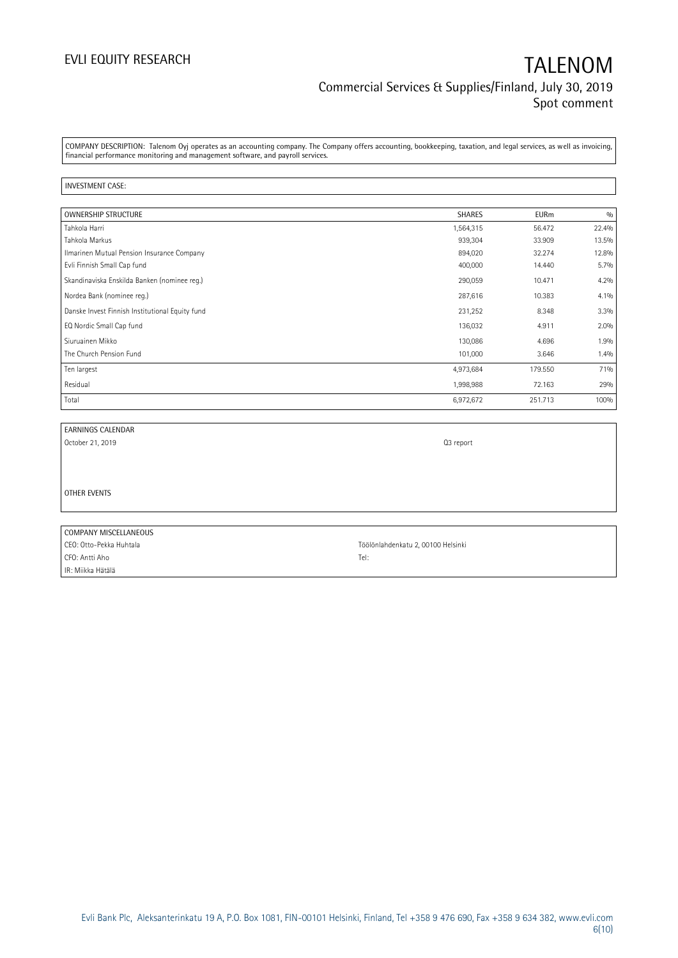COMPANY DESCRIPTION: Talenom Oyj operates as an accounting company. The Company offers accounting, bookkeeping, taxation, and legal services, as well as invoicing, financial performance monitoring and management software, and payroll services.

### INVESTMENT CASE:

| <b>OWNERSHIP STRUCTURE</b>                      | <b>SHARES</b> | <b>EURm</b> | 0/0   |
|-------------------------------------------------|---------------|-------------|-------|
| Tahkola Harri                                   | 1,564,315     | 56.472      | 22.4% |
| Tahkola Markus                                  | 939,304       | 33.909      | 13.5% |
| Ilmarinen Mutual Pension Insurance Company      | 894,020       | 32.274      | 12.8% |
| Evli Finnish Small Cap fund                     | 400,000       | 14.440      | 5.7%  |
| Skandinaviska Enskilda Banken (nominee reg.)    | 290,059       | 10.471      | 4.2%  |
| Nordea Bank (nominee reg.)                      | 287,616       | 10.383      | 4.1%  |
| Danske Invest Finnish Institutional Equity fund | 231,252       | 8.348       | 3.3%  |
| EQ Nordic Small Cap fund                        | 136,032       | 4.911       | 2.0%  |
| Siuruainen Mikko                                | 130,086       | 4.696       | 1.9%  |
| The Church Pension Fund                         | 101,000       | 3.646       | 1.4%  |
| Ten largest                                     | 4,973,684     | 179.550     | 71%   |
| Residual                                        | 1,998,988     | 72.163      | 29%   |
| Total                                           | 6,972,672     | 251.713     | 100%  |

| EARNINGS CALENDAR       |                                    |
|-------------------------|------------------------------------|
| October 21, 2019        | Q3 report                          |
|                         |                                    |
|                         |                                    |
|                         |                                    |
| OTHER EVENTS            |                                    |
|                         |                                    |
|                         |                                    |
| COMPANY MISCELLANEOUS   |                                    |
| CEO: Otto-Pekka Huhtala | Töölönlahdenkatu 2, 00100 Helsinki |
| CFO: Antti Aho          | Tel:                               |
| IR: Miikka Hätälä       |                                    |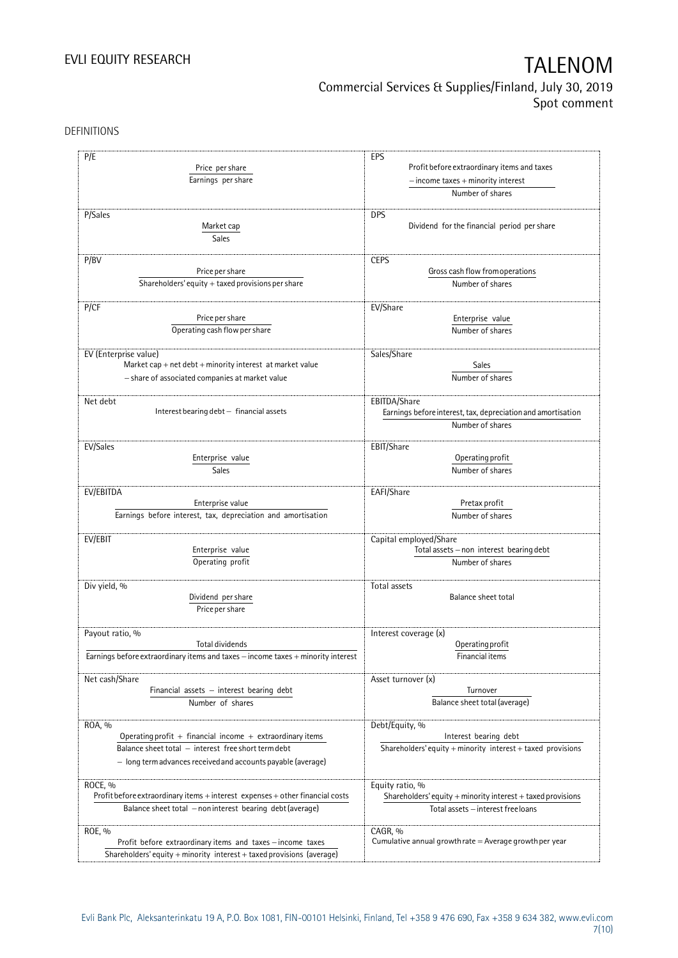DEFINITIONS

| P/E                                                                              | EPS                                                                  |  |  |  |  |
|----------------------------------------------------------------------------------|----------------------------------------------------------------------|--|--|--|--|
| Price per share                                                                  | Profit before extraordinary items and taxes                          |  |  |  |  |
|                                                                                  |                                                                      |  |  |  |  |
| Earnings per share                                                               | $-$ income taxes $+$ minority interest                               |  |  |  |  |
|                                                                                  | Number of shares                                                     |  |  |  |  |
| P/Sales                                                                          | <b>DPS</b>                                                           |  |  |  |  |
| Market cap                                                                       | Dividend for the financial period per share                          |  |  |  |  |
| Sales                                                                            |                                                                      |  |  |  |  |
|                                                                                  |                                                                      |  |  |  |  |
| P/BV                                                                             | <b>CEPS</b>                                                          |  |  |  |  |
| Price per share                                                                  | Gross cash flow from operations                                      |  |  |  |  |
| Shareholders' equity $+$ taxed provisions per share                              | Number of shares                                                     |  |  |  |  |
|                                                                                  |                                                                      |  |  |  |  |
| P/CF                                                                             | EV/Share                                                             |  |  |  |  |
| Price per share                                                                  | Enterprise value                                                     |  |  |  |  |
| Operating cash flow per share                                                    | Number of shares                                                     |  |  |  |  |
|                                                                                  |                                                                      |  |  |  |  |
| EV (Enterprise value)                                                            | Sales/Share                                                          |  |  |  |  |
| Market cap + net $debt$ + minority interest at market value                      | Sales                                                                |  |  |  |  |
| - share of associated companies at market value                                  | Number of shares                                                     |  |  |  |  |
|                                                                                  |                                                                      |  |  |  |  |
| Net debt                                                                         | EBITDA/Share                                                         |  |  |  |  |
| Interest bearing debt - financial assets                                         | Earnings before interest, tax, depreciation and amortisation         |  |  |  |  |
|                                                                                  | Number of shares                                                     |  |  |  |  |
|                                                                                  |                                                                      |  |  |  |  |
| EV/Sales                                                                         | EBIT/Share                                                           |  |  |  |  |
| Enterprise value                                                                 | Operating profit                                                     |  |  |  |  |
| Sales                                                                            | Number of shares                                                     |  |  |  |  |
|                                                                                  |                                                                      |  |  |  |  |
| EV/EBITDA                                                                        | EAFI/Share                                                           |  |  |  |  |
| Enterprise value                                                                 | Pretax profit                                                        |  |  |  |  |
| Earnings before interest, tax, depreciation and amortisation                     | Number of shares                                                     |  |  |  |  |
| EV/EBIT                                                                          | Capital employed/Share                                               |  |  |  |  |
| Enterprise value                                                                 | Total assets - non interest bearing debt                             |  |  |  |  |
| Operating profit                                                                 | Number of shares                                                     |  |  |  |  |
|                                                                                  |                                                                      |  |  |  |  |
| Div yield, %                                                                     | Total assets                                                         |  |  |  |  |
| Dividend per share                                                               | Balance sheet total                                                  |  |  |  |  |
| Price per share                                                                  |                                                                      |  |  |  |  |
|                                                                                  |                                                                      |  |  |  |  |
| Payout ratio, %                                                                  | Interest coverage (x)                                                |  |  |  |  |
| <b>Total dividends</b>                                                           | Operating profit                                                     |  |  |  |  |
| Earnings before extraordinary items and taxes - income taxes + minority interest | Financial items                                                      |  |  |  |  |
|                                                                                  |                                                                      |  |  |  |  |
| Net cash/Share                                                                   | Asset turnover (x)                                                   |  |  |  |  |
| Financial assets - interest bearing debt                                         | Turnover                                                             |  |  |  |  |
| Number of shares                                                                 | Balance sheet total (average)                                        |  |  |  |  |
|                                                                                  |                                                                      |  |  |  |  |
| ROA, %                                                                           | Debt/Equity, %                                                       |  |  |  |  |
| Operating profit $+$ financial income $+$ extraordinary items                    | Interest bearing debt                                                |  |  |  |  |
| Balance sheet total - interest free short term debt                              | Shareholders' equity + minority interest + taxed provisions          |  |  |  |  |
| - long term advances received and accounts payable (average)                     |                                                                      |  |  |  |  |
|                                                                                  |                                                                      |  |  |  |  |
| ROCE, %                                                                          | Equity ratio, %                                                      |  |  |  |  |
| Profit before extraordinary items + interest expenses + other financial costs    | Shareholders' equity $+$ minority interest $+$ taxed provisions      |  |  |  |  |
| Balance sheet total - non interest bearing debt (average)                        | Total assets - interest free loans                                   |  |  |  |  |
|                                                                                  |                                                                      |  |  |  |  |
| ROE, %                                                                           | CAGR, %<br>Cumulative annual growth rate $=$ Average growth per year |  |  |  |  |
| Profit before extraordinary items and taxes - income taxes                       |                                                                      |  |  |  |  |
| Shareholders' equity + minority interest + taxed provisions (average)            |                                                                      |  |  |  |  |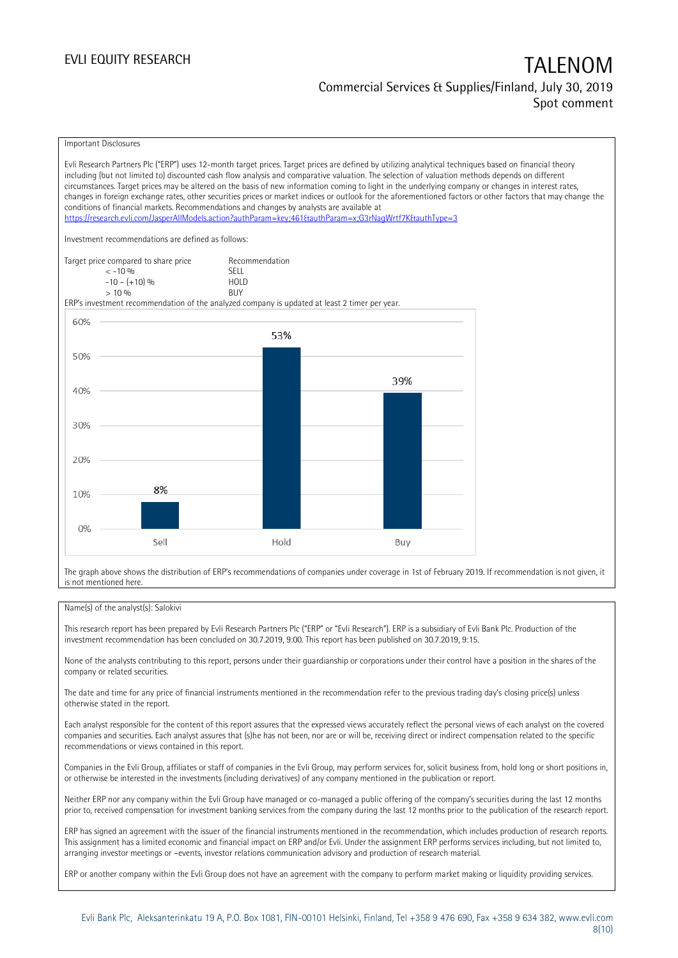Important Disclosures

Evli Research Partners Plc ("ERP") uses 12-month target prices. Target prices are defined by utilizing analytical techniques based on financial theory including (but not limited to) discounted cash flow analysis and comparative valuation. The selection of valuation methods depends on different circumstances. Target prices may be altered on the basis of new information coming to light in the underlying company or changes in interest rates, changes in foreign exchange rates, other securities prices or market indices or outlook for the aforementioned factors or other factors that may change the conditions of financial markets. Recommendations and changes by analysts are available at <https://research.evli.com/JasperAllModels.action?authParam=key;461&authParam=x;G3rNagWrtf7K&authType=3> Investment recommendations are defined as follows: Target price compared to share price Recommendation<br>  $\leq -10\%$  $\langle 5, 10, 10 \rangle$  SELL<br> $\langle -10, 10, 10 \rangle$  SELL  $-10 - (+10) \%$  HOL<br>  $> 10 \%$  RIJY  $> 10\%$ ERP's investment recommendation of the analyzed company is updated at least 2 timer per year. 60% 53% 50% 39% 40% 30% 20% 8% 10%  $0%$ Sell Hold Buy

The graph above shows the distribution of ERP's recommendations of companies under coverage in 1st of February 2019. If recommendation is not given, it is not mentioned here.

### Name(s) of the analyst(s): Salokivi

This research report has been prepared by Evli Research Partners Plc ("ERP" or "Evli Research"). ERP is a subsidiary of Evli Bank Plc. Production of the investment recommendation has been concluded on 30.7.2019, 9:00. This report has been published on 30.7.2019, 9:15.

None of the analysts contributing to this report, persons under their guardianship or corporations under their control have a position in the shares of the company or related securities.

The date and time for any price of financial instruments mentioned in the recommendation refer to the previous trading day's closing price(s) unless otherwise stated in the report.

Each analyst responsible for the content of this report assures that the expressed views accurately reflect the personal views of each analyst on the covered companies and securities. Each analyst assures that (s)he has not been, nor are or will be, receiving direct or indirect compensation related to the specific recommendations or views contained in this report.

Companies in the Evli Group, affiliates or staff of companies in the Evli Group, may perform services for, solicit business from, hold long or short positions in, or otherwise be interested in the investments (including derivatives) of any company mentioned in the publication or report.

Neither ERP nor any company within the Evli Group have managed or co-managed a public offering of the company's securities during the last 12 months prior to, received compensation for investment banking services from the company during the last 12 months prior to the publication of the research report.

ERP has signed an agreement with the issuer of the financial instruments mentioned in the recommendation, which includes production of research reports. This assignment has a limited economic and financial impact on ERP and/or Evli. Under the assignment ERP performs services including, but not limited to, arranging investor meetings or –events, investor relations communication advisory and production of research material.

ERP or another company within the Evli Group does not have an agreement with the company to perform market making or liquidity providing services.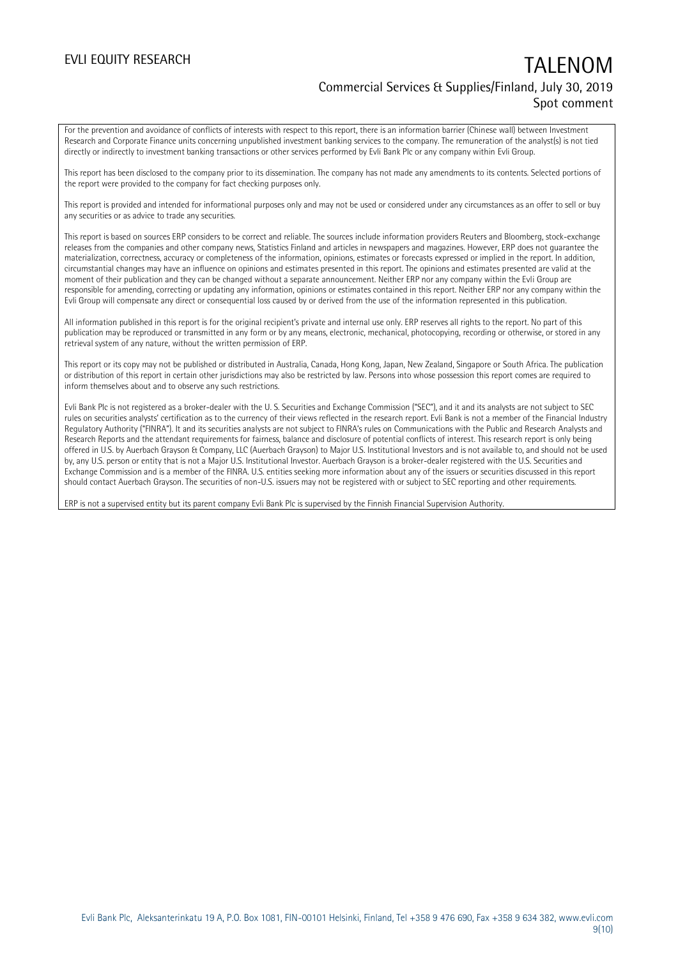For the prevention and avoidance of conflicts of interests with respect to this report, there is an information barrier (Chinese wall) between Investment Research and Corporate Finance units concerning unpublished investment banking services to the company. The remuneration of the analyst(s) is not tied directly or indirectly to investment banking transactions or other services performed by Evli Bank Plc or any company within Evli Group.

This report has been disclosed to the company prior to its dissemination. The company has not made any amendments to its contents. Selected portions of the report were provided to the company for fact checking purposes only.

This report is provided and intended for informational purposes only and may not be used or considered under any circumstances as an offer to sell or buy any securities or as advice to trade any securities.

This report is based on sources ERP considers to be correct and reliable. The sources include information providers Reuters and Bloomberg, stock-exchange releases from the companies and other company news, Statistics Finland and articles in newspapers and magazines. However, ERP does not guarantee the materialization, correctness, accuracy or completeness of the information, opinions, estimates or forecasts expressed or implied in the report. In addition, circumstantial changes may have an influence on opinions and estimates presented in this report. The opinions and estimates presented are valid at the moment of their publication and they can be changed without a separate announcement. Neither ERP nor any company within the Evli Group are responsible for amending, correcting or updating any information, opinions or estimates contained in this report. Neither ERP nor any company within the Evli Group will compensate any direct or consequential loss caused by or derived from the use of the information represented in this publication.

All information published in this report is for the original recipient's private and internal use only. ERP reserves all rights to the report. No part of this publication may be reproduced or transmitted in any form or by any means, electronic, mechanical, photocopying, recording or otherwise, or stored in any retrieval system of any nature, without the written permission of ERP.

This report or its copy may not be published or distributed in Australia, Canada, Hong Kong, Japan, New Zealand, Singapore or South Africa. The publication or distribution of this report in certain other jurisdictions may also be restricted by law. Persons into whose possession this report comes are required to inform themselves about and to observe any such restrictions.

Evli Bank Plc is not registered as a broker-dealer with the U. S. Securities and Exchange Commission ("SEC"), and it and its analysts are not subject to SEC rules on securities analysts' certification as to the currency of their views reflected in the research report. Evli Bank is not a member of the Financial Industry Regulatory Authority ("FINRA"). It and its securities analysts are not subject to FINRA's rules on Communications with the Public and Research Analysts and Research Reports and the attendant requirements for fairness, balance and disclosure of potential conflicts of interest. This research report is only being offered in U.S. by Auerbach Grayson & Company, LLC (Auerbach Grayson) to Major U.S. Institutional Investors and is not available to, and should not be used by, any U.S. person or entity that is not a Major U.S. Institutional Investor. Auerbach Grayson is a broker-dealer registered with the U.S. Securities and Exchange Commission and is a member of the FINRA. U.S. entities seeking more information about any of the issuers or securities discussed in this report should contact Auerbach Grayson. The securities of non-U.S. issuers may not be registered with or subject to SEC reporting and other requirements.

ERP is not a supervised entity but its parent company Evli Bank Plc is supervised by the Finnish Financial Supervision Authority.